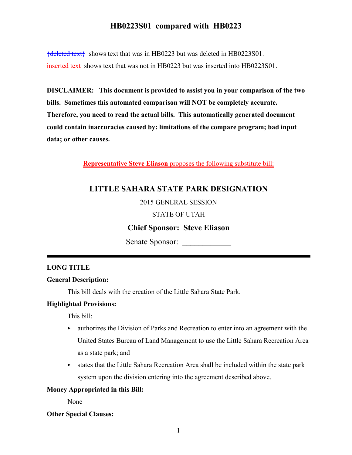# **HB0223S01 compared with HB0223**

 ${deleted text}$  shows text that was in HB0223 but was deleted in HB0223S01. inserted text shows text that was not in HB0223 but was inserted into HB0223S01.

**DISCLAIMER: This document is provided to assist you in your comparison of the two bills. Sometimes this automated comparison will NOT be completely accurate. Therefore, you need to read the actual bills. This automatically generated document could contain inaccuracies caused by: limitations of the compare program; bad input data; or other causes.**

**Representative Steve Eliason** proposes the following substitute bill:

# **LITTLE SAHARA STATE PARK DESIGNATION**

# 2015 GENERAL SESSION

# STATE OF UTAH

# **Chief Sponsor: Steve Eliason**

Senate Sponsor:

# **LONG TITLE**

# **General Description:**

This bill deals with the creation of the Little Sahara State Park.

#### **Highlighted Provisions:**

This bill:

- $\rightarrow$  authorizes the Division of Parks and Recreation to enter into an agreement with the United States Bureau of Land Management to use the Little Sahara Recreation Area as a state park; and
- $\triangleright$  states that the Little Sahara Recreation Area shall be included within the state park system upon the division entering into the agreement described above.

#### **Money Appropriated in this Bill:**

None

#### **Other Special Clauses:**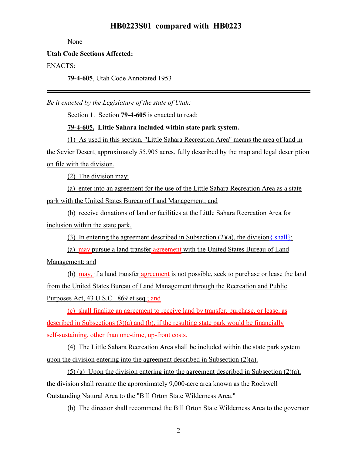# **HB0223S01 compared with HB0223**

None

#### **Utah Code Sections Affected:**

ENACTS:

**79-4-605**, Utah Code Annotated 1953

*Be it enacted by the Legislature of the state of Utah:*

Section 1. Section **79-4-605** is enacted to read:

**79-4-605. Little Sahara included within state park system.**

(1) As used in this section, "Little Sahara Recreation Area" means the area of land in the Sevier Desert, approximately 55,905 acres, fully described by the map and legal description on file with the division.

(2) The division may:

(a) enter into an agreement for the use of the Little Sahara Recreation Area as a state park with the United States Bureau of Land Management; and

(b) receive donations of land or facilities at the Little Sahara Recreation Area for inclusion within the state park.

(3) In entering the agreement described in Subsection (2)(a), the division  $\frac{\text{shall}}{\text{shall}}$ :

(a) may pursue a land transfer agreement with the United States Bureau of Land Management; and

(b) may, if a land transfer agreement is not possible, seek to purchase or lease the land from the United States Bureau of Land Management through the Recreation and Public Purposes Act, 43 U.S.C. 869 et seq.; and

(c) shall finalize an agreement to receive land by transfer, purchase, or lease, as described in Subsections (3)(a) and (b), if the resulting state park would be financially self-sustaining, other than one-time, up-front costs.

(4) The Little Sahara Recreation Area shall be included within the state park system upon the division entering into the agreement described in Subsection (2)(a).

 $(5)$  (a) Upon the division entering into the agreement described in Subsection  $(2)(a)$ , the division shall rename the approximately 9,000-acre area known as the Rockwell Outstanding Natural Area to the "Bill Orton State Wilderness Area."

(b) The director shall recommend the Bill Orton State Wilderness Area to the governor